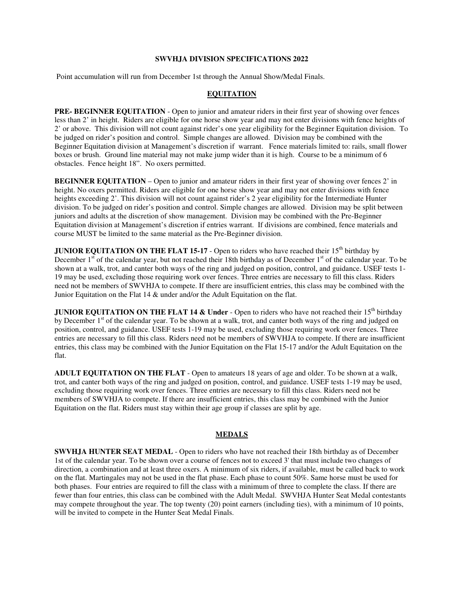#### **SWVHJA DIVISION SPECIFICATIONS 2022**

Point accumulation will run from December 1st through the Annual Show/Medal Finals.

# **EQUITATION**

**PRE- BEGINNER EQUITATION** - Open to junior and amateur riders in their first year of showing over fences less than 2' in height. Riders are eligible for one horse show year and may not enter divisions with fence heights of 2' or above. This division will not count against rider's one year eligibility for the Beginner Equitation division. To be judged on rider's position and control. Simple changes are allowed. Division may be combined with the Beginner Equitation division at Management's discretion if warrant. Fence materials limited to: rails, small flower boxes or brush. Ground line material may not make jump wider than it is high. Course to be a minimum of 6 obstacles. Fence height 18". No oxers permitted.

**BEGINNER EQUITATION** – Open to junior and amateur riders in their first year of showing over fences 2' in height. No oxers permitted. Riders are eligible for one horse show year and may not enter divisions with fence heights exceeding 2'. This division will not count against rider's 2 year eligibility for the Intermediate Hunter division. To be judged on rider's position and control. Simple changes are allowed. Division may be split between juniors and adults at the discretion of show management. Division may be combined with the Pre-Beginner Equitation division at Management's discretion if entries warrant. If divisions are combined, fence materials and course MUST be limited to the same material as the Pre-Beginner division.

**JUNIOR EQUITATION ON THE FLAT 15-17** - Open to riders who have reached their 15<sup>th</sup> birthday by December  $1<sup>st</sup>$  of the calendar year, but not reached their 18th birthday as of December  $1<sup>st</sup>$  of the calendar year. To be shown at a walk, trot, and canter both ways of the ring and judged on position, control, and guidance. USEF tests 1- 19 may be used, excluding those requiring work over fences. Three entries are necessary to fill this class. Riders need not be members of SWVHJA to compete. If there are insufficient entries, this class may be combined with the Junior Equitation on the Flat 14 & under and/or the Adult Equitation on the flat.

**JUNIOR EQUITATION ON THE FLAT 14 & Under** - Open to riders who have not reached their  $15<sup>th</sup>$  birthday by December 1<sup>st</sup> of the calendar year. To be shown at a walk, trot, and canter both ways of the ring and judged on position, control, and guidance. USEF tests 1-19 may be used, excluding those requiring work over fences. Three entries are necessary to fill this class. Riders need not be members of SWVHJA to compete. If there are insufficient entries, this class may be combined with the Junior Equitation on the Flat 15-17 and/or the Adult Equitation on the flat.

**ADULT EQUITATION ON THE FLAT** - Open to amateurs 18 years of age and older. To be shown at a walk, trot, and canter both ways of the ring and judged on position, control, and guidance. USEF tests 1-19 may be used, excluding those requiring work over fences. Three entries are necessary to fill this class. Riders need not be members of SWVHJA to compete. If there are insufficient entries, this class may be combined with the Junior Equitation on the flat. Riders must stay within their age group if classes are split by age.

## **MEDALS**

**SWVHJA HUNTER SEAT MEDAL** - Open to riders who have not reached their 18th birthday as of December 1st of the calendar year. To be shown over a course of fences not to exceed 3' that must include two changes of direction, a combination and at least three oxers. A minimum of six riders, if available, must be called back to work on the flat. Martingales may not be used in the flat phase. Each phase to count 50%. Same horse must be used for both phases. Four entries are required to fill the class with a minimum of three to complete the class. If there are fewer than four entries, this class can be combined with the Adult Medal. SWVHJA Hunter Seat Medal contestants may compete throughout the year. The top twenty (20) point earners (including ties), with a minimum of 10 points, will be invited to compete in the Hunter Seat Medal Finals.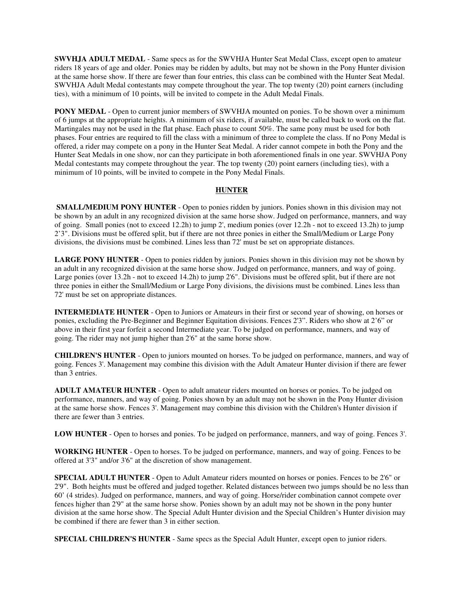**SWVHJA ADULT MEDAL** - Same specs as for the SWVHJA Hunter Seat Medal Class, except open to amateur riders 18 years of age and older. Ponies may be ridden by adults, but may not be shown in the Pony Hunter division at the same horse show. If there are fewer than four entries, this class can be combined with the Hunter Seat Medal. SWVHJA Adult Medal contestants may compete throughout the year. The top twenty (20) point earners (including ties), with a minimum of 10 points, will be invited to compete in the Adult Medal Finals.

**PONY MEDAL** - Open to current junior members of SWVHJA mounted on ponies. To be shown over a minimum of 6 jumps at the appropriate heights. A minimum of six riders, if available, must be called back to work on the flat. Martingales may not be used in the flat phase. Each phase to count 50%. The same pony must be used for both phases. Four entries are required to fill the class with a minimum of three to complete the class. If no Pony Medal is offered, a rider may compete on a pony in the Hunter Seat Medal. A rider cannot compete in both the Pony and the Hunter Seat Medals in one show, nor can they participate in both aforementioned finals in one year. SWVHJA Pony Medal contestants may compete throughout the year. The top twenty (20) point earners (including ties), with a minimum of 10 points, will be invited to compete in the Pony Medal Finals.

## **HUNTER**

**SMALL/MEDIUM PONY HUNTER** - Open to ponies ridden by juniors. Ponies shown in this division may not be shown by an adult in any recognized division at the same horse show. Judged on performance, manners, and way of going. Small ponies (not to exceed 12.2h) to jump 2', medium ponies (over 12.2h - not to exceed 13.2h) to jump 2'3". Divisions must be offered split, but if there are not three ponies in either the Small/Medium or Large Pony divisions, the divisions must be combined. Lines less than 72' must be set on appropriate distances.

**LARGE PONY HUNTER** - Open to ponies ridden by juniors. Ponies shown in this division may not be shown by an adult in any recognized division at the same horse show. Judged on performance, manners, and way of going. Large ponies (over 13.2h - not to exceed 14.2h) to jump 2'6". Divisions must be offered split, but if there are not three ponies in either the Small/Medium or Large Pony divisions, the divisions must be combined. Lines less than 72' must be set on appropriate distances.

**INTERMEDIATE HUNTER** - Open to Juniors or Amateurs in their first or second year of showing, on horses or ponies, excluding the Pre-Beginner and Beginner Equitation divisions. Fences 2'3". Riders who show at 2'6" or above in their first year forfeit a second Intermediate year. To be judged on performance, manners, and way of going. The rider may not jump higher than 2'6" at the same horse show.

**CHILDREN'S HUNTER** - Open to juniors mounted on horses. To be judged on performance, manners, and way of going. Fences 3'. Management may combine this division with the Adult Amateur Hunter division if there are fewer than 3 entries.

**ADULT AMATEUR HUNTER** - Open to adult amateur riders mounted on horses or ponies. To be judged on performance, manners, and way of going. Ponies shown by an adult may not be shown in the Pony Hunter division at the same horse show. Fences 3'. Management may combine this division with the Children's Hunter division if there are fewer than 3 entries.

**LOW HUNTER** - Open to horses and ponies. To be judged on performance, manners, and way of going. Fences 3'.

**WORKING HUNTER** - Open to horses. To be judged on performance, manners, and way of going. Fences to be offered at 3'3" and/or 3'6" at the discretion of show management.

**SPECIAL ADULT HUNTER** - Open to Adult Amateur riders mounted on horses or ponies. Fences to be 2'6" or 2'9". Both heights must be offered and judged together. Related distances between two jumps should be no less than 60' (4 strides). Judged on performance, manners, and way of going. Horse/rider combination cannot compete over fences higher than 2'9" at the same horse show. Ponies shown by an adult may not be shown in the pony hunter division at the same horse show. The Special Adult Hunter division and the Special Children's Hunter division may be combined if there are fewer than 3 in either section.

**SPECIAL CHILDREN'S HUNTER** - Same specs as the Special Adult Hunter, except open to junior riders.